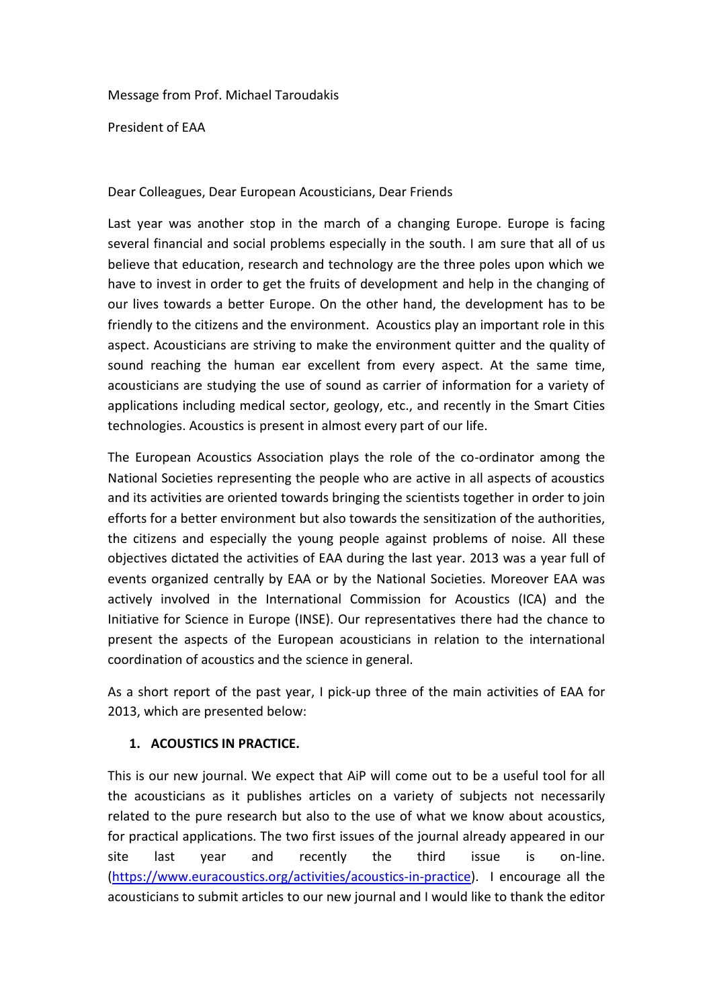Message from Prof. Michael Taroudakis

President of EAA

Dear Colleagues, Dear European Acousticians, Dear Friends

Last year was another stop in the march of a changing Europe. Europe is facing several financial and social problems especially in the south. I am sure that all of us believe that education, research and technology are the three poles upon which we have to invest in order to get the fruits of development and help in the changing of our lives towards a better Europe. On the other hand, the development has to be friendly to the citizens and the environment. Acoustics play an important role in this aspect. Acousticians are striving to make the environment quitter and the quality of sound reaching the human ear excellent from every aspect. At the same time, acousticians are studying the use of sound as carrier of information for a variety of applications including medical sector, geology, etc., and recently in the Smart Cities technologies. Acoustics is present in almost every part of our life.

The European Acoustics Association plays the role of the co-ordinator among the National Societies representing the people who are active in all aspects of acoustics and its activities are oriented towards bringing the scientists together in order to join efforts for a better environment but also towards the sensitization of the authorities, the citizens and especially the young people against problems of noise. All these objectives dictated the activities of EAA during the last year. 2013 was a year full of events organized centrally by EAA or by the National Societies. Moreover EAA was actively involved in the International Commission for Acoustics (ICA) and the Initiative for Science in Europe (INSE). Our representatives there had the chance to present the aspects of the European acousticians in relation to the international coordination of acoustics and the science in general.

As a short report of the past year, I pick-up three of the main activities of EAA for 2013, which are presented below:

## **1. ACOUSTICS IN PRACTICE.**

This is our new journal. We expect that AiP will come out to be a useful tool for all the acousticians as it publishes articles on a variety of subjects not necessarily related to the pure research but also to the use of what we know about acoustics, for practical applications. The two first issues of the journal already appeared in our site last year and recently the third issue is on-line. [\(https://www.euracoustics.org/activities/acoustics-in-practice\)](https://www.euracoustics.org/activities/acoustics-in-practice). I encourage all the acousticians to submit articles to our new journal and I would like to thank the editor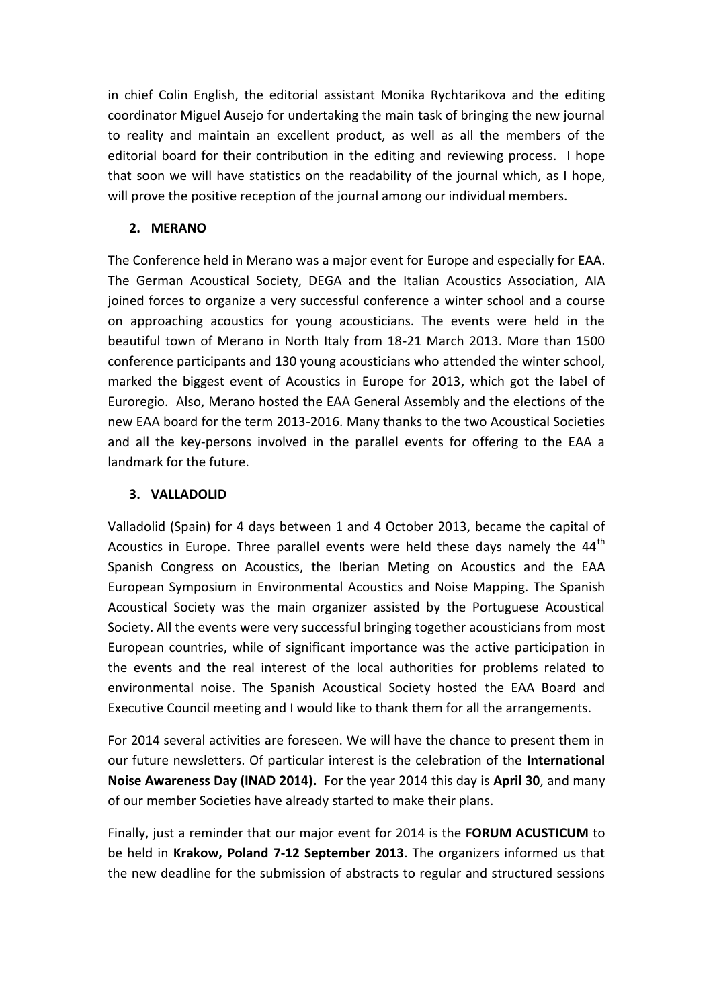in chief Colin English, the editorial assistant Monika Rychtarikova and the editing coordinator Miguel Ausejo for undertaking the main task of bringing the new journal to reality and maintain an excellent product, as well as all the members of the editorial board for their contribution in the editing and reviewing process. I hope that soon we will have statistics on the readability of the journal which, as I hope, will prove the positive reception of the journal among our individual members.

## **2. MERANO**

The Conference held in Merano was a major event for Europe and especially for EAA. The German Acoustical Society, DEGA and the Italian Acoustics Association, AIA joined forces to organize a very successful conference a winter school and a course on approaching acoustics for young acousticians. The events were held in the beautiful town of Merano in North Italy from 18-21 March 2013. More than 1500 conference participants and 130 young acousticians who attended the winter school, marked the biggest event of Acoustics in Europe for 2013, which got the label of Euroregio. Also, Merano hosted the EAA General Assembly and the elections of the new EAA board for the term 2013-2016. Many thanks to the two Acoustical Societies and all the key-persons involved in the parallel events for offering to the EAA a landmark for the future.

## **3. VALLADOLID**

Valladolid (Spain) for 4 days between 1 and 4 October 2013, became the capital of Acoustics in Europe. Three parallel events were held these days namely the  $44<sup>th</sup>$ Spanish Congress on Acoustics, the Iberian Meting on Acoustics and the EAA European Symposium in Environmental Acoustics and Noise Mapping. The Spanish Acoustical Society was the main organizer assisted by the Portuguese Acoustical Society. All the events were very successful bringing together acousticians from most European countries, while of significant importance was the active participation in the events and the real interest of the local authorities for problems related to environmental noise. The Spanish Acoustical Society hosted the EAA Board and Executive Council meeting and I would like to thank them for all the arrangements.

For 2014 several activities are foreseen. We will have the chance to present them in our future newsletters. Of particular interest is the celebration of the **International Noise Awareness Day (INAD 2014).** For the year 2014 this day is **April 30**, and many of our member Societies have already started to make their plans.

Finally, just a reminder that our major event for 2014 is the **FORUM ACUSTICUM** to be held in **Krakow, Poland 7-12 September 2013**. The organizers informed us that the new deadline for the submission of abstracts to regular and structured sessions